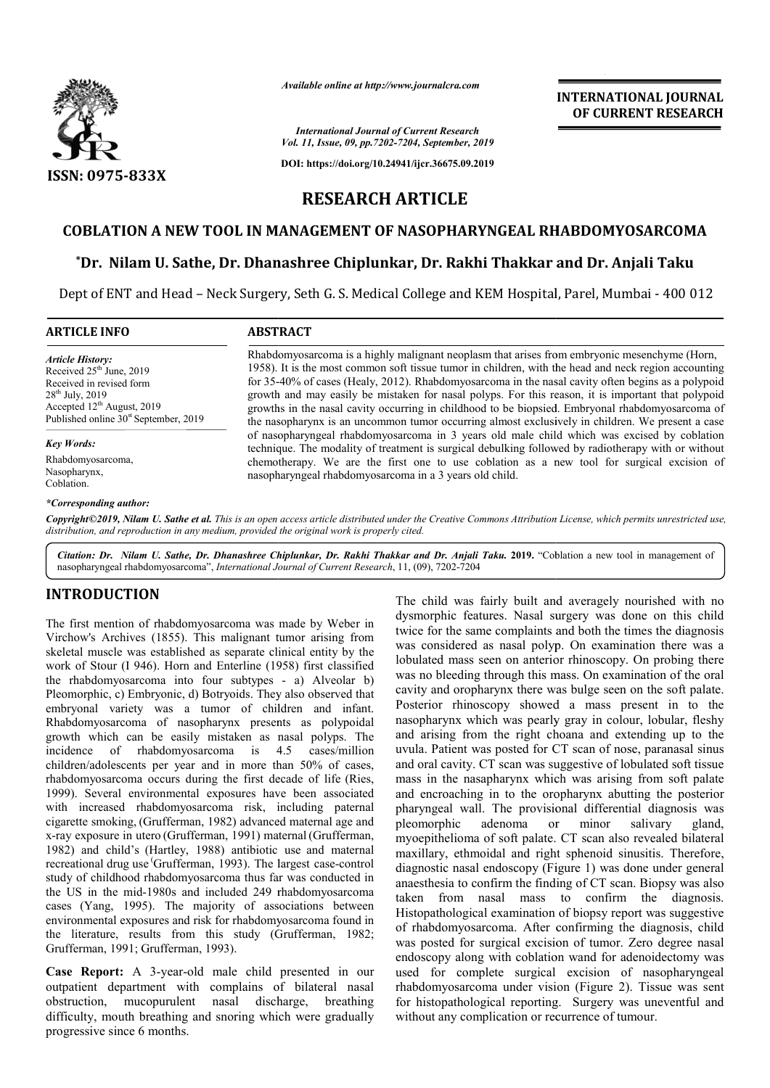

*Available online at http://www.journalcra.com*

**INTERNATIONAL JOURNAL OF CURRENT RESEARCH**

*International Journal of Current Research Vol. 11, Issue, 09, pp.7202-7204, September, 2019*

**DOI: https://doi.org/10.24941/ijcr.36675.09.2019**

# **RESEARCH ARTICLE**

## **COBLATION A NEW TOOL IN MANAGEMENT OF NASOPHARYNGEAL RHABDOMYOSARCOMA COBLATION A NEW TOOL IN MANAGEMENT**

# **\*Dr. Nilam U. Sathe, Dr. Dhanashree Chiplunkar, Dr. Rakhi Thakkar and Dr. Dr. Chiplunkar, Dr. Anjali Taku**

Dept of ENT and Head – Neck Surgery, Seth G. S. Medical College and KEM Hospital, Parel, Mumbai - 400 012

Rhabdomyosarcoma is a highly malignant neoplasm that arises from embryonic mesenchyme (Horn, 1958). It is the most common soft tissue tumor in children, with the head and neck region accounting 1958). It is the most common soft tissue tumor in children, with the head and neck region accounting for 35-40% of cases (Healy, 2012). Rhabdomyosarcoma in the nasal cavity often begins as a polypoid growth and may easily be mistaken for nasal polyps. For this reason, it is important that polypoid growths in the nasal cavity occurring in childhood to be biopsied. Embryonal rhabdomyosarcoma of the nasopharynx is an uncommon tumor occurring almost exclusively in children. We present a case of nasopharyngeal rhabdomyosarcoma in 3 years old male child which was excised by coblation technique. The modality of treatment is surgical debulking followed by radiotherapy with or without chemotherapy. We are the first one to use coblation as a new tool for surgical excision of

1958). It is the most common soft tissue tumor in children, with the head and neck region accounting for 35-40% of cases (Healy, 2012). Rhabdomyosarcoma in the nasal cavity often begins as a polypoid growth and may easily

## **ARTICLE INFO ABSTRACT**

*Article History:* Received  $25<sup>th</sup>$  June, 2019 Received in revised form 28<sup>th</sup> July, 2019 Accepted 12<sup>th</sup> August, 2019 Published online  $30<sup>st</sup>$  September, 2019

*Key Words:*

Rhabdomyosarcoma, Nasopharynx, Coblation.

### *\*Corresponding author:*

Copyright©2019, Nilam U. Sathe et al. This is an open access article distributed under the Creative Commons Attribution License, which permits unrestricted use, *distribution, and reproduction in any medium, provided the original work is properly cited.*

nasopharyngeal rhabdomyosarcoma in a 3 years old child.

Citation: Dr. Nilam U. Sathe, Dr. Dhanashree Chiplunkar, Dr. Rakhi Thakkar and Dr. Anjali Taku. 2019. "Coblation a new tool in management of nasopharyngeal rhabdomyosarcoma", *International Journal of Current Research*, 11, (09), 7202-7204

## **INTRODUCTION**

The first mention of rhabdomyosarcoma was made by Weber in Virchow's Archives (1855). This malignant tumor arising from skeletal muscle was established as separate clinical entity by the work of Stour (I 946). Horn and Enterline (1958) first classified the rhabdomyosarcoma into four subtypes - a) Alveolar b) Pleomorphic, c) Embryonic, d) Botryoids. They also observed that embryonal variety was a tumor of children and infant. Rhabdomyosarcoma of nasopharynx presents as polypoidal growth which can be easily mistaken as nasal polyps. The incidence of rhabdomyosarcoma is 4.5 cases/million children/adolescents per year and in more than 50% of cases, rhabdomyosarcoma occurs during the first decade of life (Ries, 1999). Several environmental exposures have been associated with increased rhabdomyosarcoma risk, including paternal cigarette smoking, (Grufferman, 1982) advanced maternal age and x-ray exposure in utero (Grufferman, 1991) maternal (Grufferman, 1982) and child's (Hartley, 1988) antibiotic use and maternal recreational drug use Grufferman, 1993). The largest case-control study of childhood rhabdomyosarcoma thus far was conducted in the US in the mid-1980s and included 249 rhabdomyosarcoma cases (Yang, 1995). The majority of associations between environmental exposures and risk for rhabdomyosarcoma found in the literature, results from this study (Grufferman, 1982; Grufferman, 1991; Grufferman, 1993). ). Several environmental exposurincreased rhabdomyosarcoma<br>ette smoking, (Grufferman, 1982)

**Case Report:** A 3-year-old male child presented in our outpatient department with complains of bilateral nasal obstruction, mucopurulent nasal discharge, breathing difficulty, mouth breathing and snoring which were gradually progressive since 6 months.

The child was fairly built and averagely nourished with no<br>
frakademysion and the child was complaints and both the times the diagnosis<br>
catabished as separate clinical entity by the was considered as mass can polyphone wa dysmorphic features. Nasal surgery was done on this child twice for the same complaints and both the times the diagnosis was considered as nasal polyp. On examination there was a lobulated mass seen on anterior rhinoscopy. On probing there was no bleeding through this mass. On examination of the oral cavity and oropharynx there was bulge seen on the soft palate. Posterior rhinoscopy showed a mass present in to the cavity and oropharynx there was bulge seen on the soft palate.<br>Posterior rhinoscopy showed a mass present in to the nasopharynx which was pearly gray in colour, lobular, fleshy and arising from the right choana and extending up to the uvula. Patient was posted for CT scan of nose, paranasal sinus and oral cavity. CT scan was suggestive of lobulated soft tissue mass in the nasapharynx which was arising from soft pala and encroaching in to the oropharynx abutting the posterior pharyngeal wall. The provisional differential diagnosis was pleomorphic adenoma or minor salivary gland, myoepithelioma of soft palate. CT scan also revealed bilateral maxillary, ethmoidal and right sphenoid sinusitis. Therefore, diagnostic nasal endoscopy (Figure 1) was done under general anaesthesia to confirm the finding of CT scan. Biopsy was also taken from nasal mass to confirm the diagnosis. Histopathological examination of biopsy report was suggestive of rhabdomyosarcoma. After confirming the diagnosis, child was posted for surgical excision of tumor. Zero degree nasal endoscopy along with coblation wand for adenoidectomy was used for complete surgical excision of nasopharyngeal rhabdomyosarcoma under vision (Figure 2). Tissue was sent for histopathological reporting. Surgery was uneventful and without any complication or recurrence of tumour. hild was fairly built and averagely nourished with<br>prphic features. Nasal surgery was done on this ch<br>for the same complaints and both the times the diagno and arising from the right choana and extending up to the uvula. Patient was posted for CT scan of nose, paranasal sinus and oral cavity. CT scan was suggestive of lobulated soft tissue mass in the nasapharynx which was ar pharyngeal wall. The provisional differential diagnosis was pleomorphic adenoma or minor salivary gland, myoepithelioma of soft palate. CT scan also revealed bilateral maxillary, ethmoidal and right sphenoid sinusitis. The **INTERNATIONAL JOURNAL THEOREM SET THEOREM SET THEOREM SET THEOREM SET THEOREM SET THEOREM SET THEOREM SET THEOREM SET THEOREM SET THEOREM SET THEOREM SET THEOREM SET THEOREM SET THEOREM SET THEOREM SET THEOREM SET THEOREM**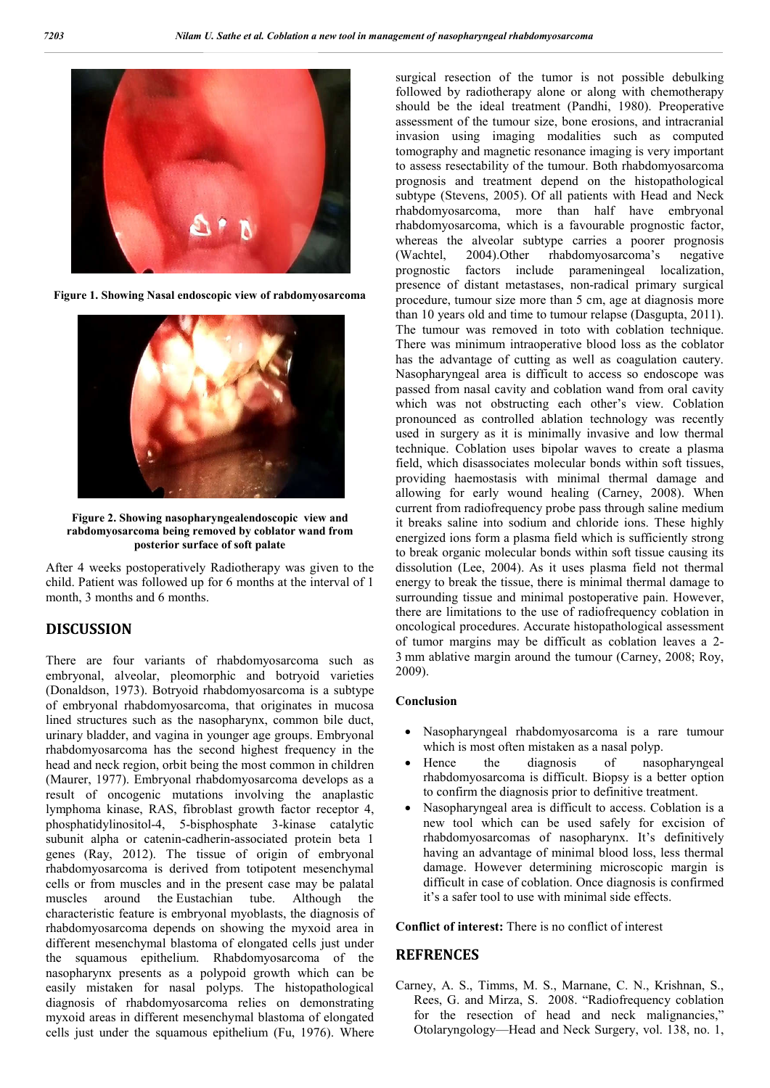

**Figure 1. Showing Nasal endoscopic view of rabdomyosarcoma**



**Figure 2. Showing nasopharyngealendoscopic view and rabdomyosarcoma being removed by coblator wand from posterior surface of soft palate**

After 4 weeks postoperatively Radiotherapy was given to the child. Patient was followed up for 6 months at the interval of 1 month, 3 months and 6 months.

## **DISCUSSION**

There are four variants of rhabdomyosarcoma such as embryonal, alveolar, pleomorphic and botryoid varieties (Donaldson, 1973). Botryoid rhabdomyosarcoma is a subtype of embryonal rhabdomyosarcoma, that originates in mucosa lined structures such as the nasopharynx, common bile duct, urinary bladder, and vagina in younger age groups. Embryonal rhabdomyosarcoma has the second highest frequency in the head and neck region, orbit being the most common in children (Maurer, 1977). Embryonal rhabdomyosarcoma develops as a result of oncogenic mutations involving the anaplastic lymphoma kinase, RAS, fibroblast growth factor receptor 4, phosphatidylinositol-4, 5-bisphosphate 3-kinase catalytic subunit alpha or catenin-cadherin-associated protein beta 1 genes (Ray, 2012). The tissue of origin of embryonal rhabdomyosarcoma is derived from totipotent mesenchymal cells or from muscles and in the present case may be palatal muscles around the Eustachian tube. Although the characteristic feature is embryonal myoblasts, the diagnosis of rhabdomyosarcoma depends on showing the myxoid area in different mesenchymal blastoma of elongated cells just under the squamous epithelium. Rhabdomyosarcoma of the nasopharynx presents as a polypoid growth which can be easily mistaken for nasal polyps. The histopathological diagnosis of rhabdomyosarcoma relies on demonstrating myxoid areas in different mesenchymal blastoma of elongated cells just under the squamous epithelium (Fu, 1976). Where

surgical resection of the tumor is not possible debulking followed by radiotherapy alone or along with chemotherapy should be the ideal treatment (Pandhi, 1980). Preoperative assessment of the tumour size, bone erosions, and intracranial invasion using imaging modalities such as computed tomography and magnetic resonance imaging is very important to assess resectability of the tumour. Both rhabdomyosarcoma prognosis and treatment depend on the histopathological subtype (Stevens, 2005). Of all patients with Head and Neck rhabdomyosarcoma, more than half have embryonal rhabdomyosarcoma, which is a favourable prognostic factor, whereas the alveolar subtype carries a poorer prognosis (Wachtel, 2004).Other rhabdomyosarcoma's negative prognostic factors include parameningeal localization, presence of distant metastases, non-radical primary surgical procedure, tumour size more than 5 cm, age at diagnosis more than 10 years old and time to tumour relapse (Dasgupta, 2011). The tumour was removed in toto with coblation technique. There was minimum intraoperative blood loss as the coblator has the advantage of cutting as well as coagulation cautery. Nasopharyngeal area is difficult to access so endoscope was passed from nasal cavity and coblation wand from oral cavity which was not obstructing each other's view. Coblation pronounced as controlled ablation technology was recently used in surgery as it is minimally invasive and low thermal technique. Coblation uses bipolar waves to create a plasma field, which disassociates molecular bonds within soft tissues, providing haemostasis with minimal thermal damage and allowing for early wound healing (Carney, 2008). When current from radiofrequency probe pass through saline medium it breaks saline into sodium and chloride ions. These highly energized ions form a plasma field which is sufficiently strong to break organic molecular bonds within soft tissue causing its dissolution (Lee, 2004). As it uses plasma field not thermal energy to break the tissue, there is minimal thermal damage to surrounding tissue and minimal postoperative pain. However, there are limitations to the use of radiofrequency coblation in oncological procedures. Accurate histopathological assessment of tumor margins may be difficult as coblation leaves a 2- 3 mm ablative margin around the tumour (Carney, 2008; Roy, 2009).

## **Conclusion**

- Nasopharyngeal rhabdomyosarcoma is a rare tumour which is most often mistaken as a nasal polyp.
- Hence the diagnosis of nasopharyngeal rhabdomyosarcoma is difficult. Biopsy is a better option to confirm the diagnosis prior to definitive treatment.
- Nasopharyngeal area is difficult to access. Coblation is a new tool which can be used safely for excision of rhabdomyosarcomas of nasopharynx. It's definitively having an advantage of minimal blood loss, less thermal damage. However determining microscopic margin is difficult in case of coblation. Once diagnosis is confirmed it's a safer tool to use with minimal side effects.

**Conflict of interest:** There is no conflict of interest

## **REFRENCES**

Carney, A. S., Timms, M. S., Marnane, C. N., Krishnan, S., Rees, G. and Mirza, S. 2008. "Radiofrequency coblation for the resection of head and neck malignancies," Otolaryngology—Head and Neck Surgery, vol. 138, no. 1,